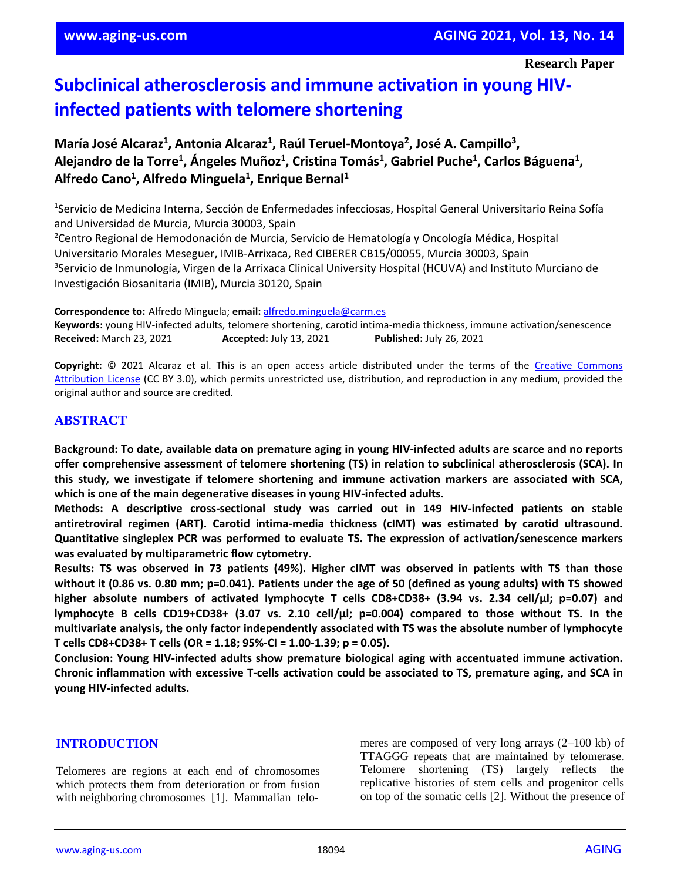# **Subclinical atherosclerosis and immune activation in young HIVinfected patients with telomere shortening**

## María José Alcaraz<sup>1</sup>, Antonia Alcaraz<sup>1</sup>, Raúl Teruel-Montoya<sup>2</sup>, José A. Campillo<sup>3</sup>, **Alejandro de la Torre<sup>1</sup> , Ángeles Muñoz<sup>1</sup> , Cristina Tomás<sup>1</sup> , Gabriel Puche<sup>1</sup> , Carlos Báguena<sup>1</sup> , Alfredo Cano<sup>1</sup> , Alfredo Minguela<sup>1</sup> , Enrique Bernal<sup>1</sup>**

1 Servicio de Medicina Interna, Sección de Enfermedades infecciosas, Hospital General Universitario Reina Sofía and Universidad de Murcia, Murcia 30003, Spain

<sup>2</sup>Centro Regional de Hemodonación de Murcia, Servicio de Hematología y Oncología Médica, Hospital Universitario Morales Meseguer, IMIB-Arrixaca, Red CIBERER CB15/00055, Murcia 30003, Spain <sup>3</sup>Servicio de Inmunología, Virgen de la Arrixaca Clinical University Hospital (HCUVA) and Instituto Murciano de Investigación Biosanitaria (IMIB), Murcia 30120, Spain

**Correspondence to:** Alfredo Minguela; **email:** [alfredo.minguela@carm.es](mailto:alfredo.minguela@carm.es)

**Keywords:** young HIV-infected adults, telomere shortening, carotid intima-media thickness, immune activation/senescence **Received:** March 23, 2021 **Accepted:** July 13, 2021 **Published:** July 26, 2021

Copyright:  $© 2021$  Alcaraz et al. This is an open access article distributed under the terms of the Creative Commons [Attribution License](https://creativecommons.org/licenses/by/3.0/) (CC BY 3.0), which permits unrestricted use, distribution, and reproduction in any medium, provided the original author and source are credited.

## **ABSTRACT**

Background: To date, available data on premature aging in young HIV-infected adults are scarce and no reports **offer comprehensive assessment of telomere shortening (TS) in relation to subclinical atherosclerosis (SCA). In this study, we investigate if telomere shortening and immune activation markers are associated with SCA, which is one of the main degenerative diseases in young HIV-infected adults.**

**Methods: A descriptive cross-sectional study was carried out in 149 HIV-infected patients on stable antiretroviral regimen (ART). Carotid intima-media thickness (cIMT) was estimated by carotid ultrasound. Quantitative singleplex PCR was performed to evaluate TS. The expression of activation/senescence markers was evaluated by multiparametric flow cytometry.**

Results: TS was observed in 73 patients (49%). Higher cIMT was observed in patients with TS than those without it (0.86 vs. 0.80 mm; p=0.041). Patients under the age of 50 (defined as young adults) with TS showed **higher absolute numbers of activated lymphocyte T cells CD8+CD38+ (3.94 vs. 2.34 cell/μl; p=0.07) and lymphocyte B cells CD19+CD38+ (3.07 vs. 2.10 cell/μl; p=0.004) compared to those without TS. In the multivariate analysis, the only factor independently associated with TS was the absolute number of lymphocyte T cells CD8+CD38+ T cells (OR = 1.18; 95%-CI = 1.00-1.39; p = 0.05).**

**Conclusion: Young HIV-infected adults show premature biological aging with accentuated immune activation. Chronic inflammation with excessive T-cells activation could be associated to TS, premature aging, and SCA in young HIV-infected adults.**

#### **INTRODUCTION**

Telomeres are regions at each end of chromosomes which protects them from deterioration or from fusion with neighboring chromosomes [1]. Mammalian telomeres are composed of very long arrays (2–100 kb) of TTAGGG repeats that are maintained by telomerase. Telomere shortening (TS) largely reflects the replicative histories of stem cells and progenitor cells on top of the somatic cells [2]. Without the presence of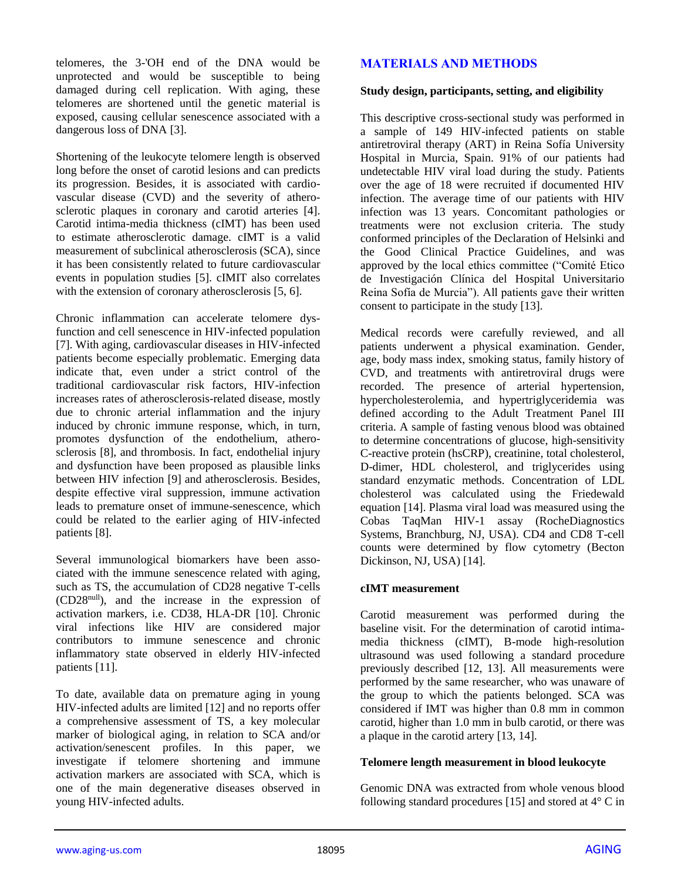telomeres, the 3-'OH end of the DNA would be unprotected and would be susceptible to being damaged during cell replication. With aging, these telomeres are shortened until the genetic material is exposed, causing cellular senescence associated with a dangerous loss of DNA [3].

Shortening of the leukocyte telomere length is observed long before the onset of carotid lesions and can predicts its progression. Besides, it is associated with cardiovascular disease (CVD) and the severity of atherosclerotic plaques in coronary and carotid arteries [4]. Carotid intima-media thickness (cIMT) has been used to estimate atherosclerotic damage. cIMT is a valid measurement of subclinical atherosclerosis (SCA), since it has been consistently related to future cardiovascular events in population studies [5]. cIMIT also correlates with the extension of coronary atherosclerosis [5, 6].

Chronic inflammation can accelerate telomere dysfunction and cell senescence in HIV-infected population [7]. With aging, cardiovascular diseases in HIV-infected patients become especially problematic. Emerging data indicate that, even under a strict control of the traditional cardiovascular risk factors, HIV-infection increases rates of atherosclerosis-related disease, mostly due to chronic arterial inflammation and the injury induced by chronic immune response, which, in turn, promotes dysfunction of the endothelium, atherosclerosis [8], and thrombosis. In fact, endothelial injury and dysfunction have been proposed as plausible links between HIV infection [9] and atherosclerosis. Besides, despite effective viral suppression, immune activation leads to premature onset of immune-senescence, which could be related to the earlier aging of HIV-infected patients [8].

Several immunological biomarkers have been associated with the immune senescence related with aging, such as TS, the accumulation of CD28 negative T-cells (CD28null), and the increase in the expression of activation markers, i.e. CD38, HLA-DR [10]. Chronic viral infections like HIV are considered major contributors to immune senescence and chronic inflammatory state observed in elderly HIV-infected patients [11].

To date, available data on premature aging in young HIV-infected adults are limited [12] and no reports offer a comprehensive assessment of TS, a key molecular marker of biological aging, in relation to SCA and/or activation/senescent profiles. In this paper, we investigate if telomere shortening and immune activation markers are associated with SCA, which is one of the main degenerative diseases observed in young HIV-infected adults.

## **MATERIALS AND METHODS**

#### **Study design, participants, setting, and eligibility**

This descriptive cross-sectional study was performed in a sample of 149 HIV-infected patients on stable antiretroviral therapy (ART) in Reina Sofía University Hospital in Murcia, Spain. 91% of our patients had undetectable HIV viral load during the study. Patients over the age of 18 were recruited if documented HIV infection. The average time of our patients with HIV infection was 13 years. Concomitant pathologies or treatments were not exclusion criteria. The study conformed principles of the Declaration of Helsinki and the Good Clinical Practice Guidelines, and was approved by the local ethics committee ("Comité Etico de Investigación Clínica del Hospital Universitario Reina Sofía de Murcia"). All patients gave their written consent to participate in the study [13].

Medical records were carefully reviewed, and all patients underwent a physical examination. Gender, age, body mass index, smoking status, family history of CVD, and treatments with antiretroviral drugs were recorded. The presence of arterial hypertension, hypercholesterolemia, and hypertriglyceridemia was defined according to the Adult Treatment Panel III criteria. A sample of fasting venous blood was obtained to determine concentrations of glucose, high-sensitivity C-reactive protein (hsCRP), creatinine, total cholesterol, D-dimer, HDL cholesterol, and triglycerides using standard enzymatic methods. Concentration of LDL cholesterol was calculated using the Friedewald equation [14]. Plasma viral load was measured using the Cobas TaqMan HIV-1 assay (RocheDiagnostics Systems, Branchburg, NJ, USA). CD4 and CD8 T-cell counts were determined by flow cytometry (Becton Dickinson, NJ, USA) [14].

#### **cIMT measurement**

Carotid measurement was performed during the baseline visit. For the determination of carotid intimamedia thickness (cIMT), B-mode high-resolution ultrasound was used following a standard procedure previously described [12, 13]. All measurements were performed by the same researcher, who was unaware of the group to which the patients belonged. SCA was considered if IMT was higher than 0.8 mm in common carotid, higher than 1.0 mm in bulb carotid, or there was a plaque in the carotid artery [13, 14].

#### **Telomere length measurement in blood leukocyte**

Genomic DNA was extracted from whole venous blood following standard procedures [15] and stored at  $4^{\circ}$  C in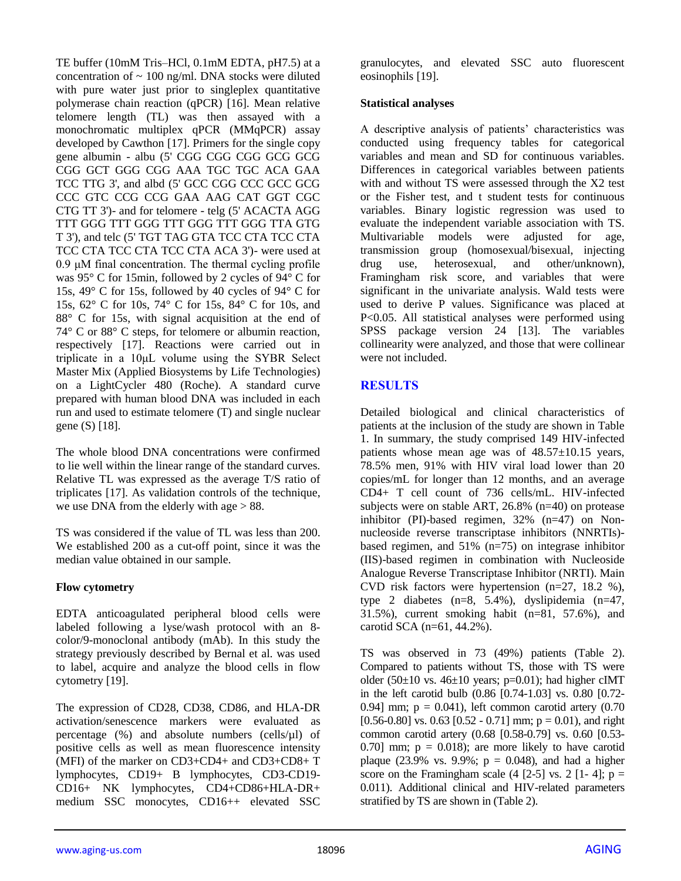TE buffer (10mM Tris–HCl, 0.1mM EDTA, pH7.5) at a concentration of  $\sim 100$  ng/ml. DNA stocks were diluted with pure water just prior to singleplex quantitative polymerase chain reaction (qPCR) [16]. Mean relative telomere length (TL) was then assayed with a monochromatic multiplex qPCR (MMqPCR) assay developed by Cawthon [17]. Primers for the single copy gene albumin - albu (5' CGG CGG CGG GCG GCG CGG GCT GGG CGG AAA TGC TGC ACA GAA TCC TTG 3', and albd (5' GCC CGG CCC GCC GCG CCC GTC CCG CCG GAA AAG CAT GGT CGC CTG TT 3')- and for telomere - telg (5' ACACTA AGG TTT GGG TTT GGG TTT GGG TTT GGG TTA GTG T 3'), and telc (5' TGT TAG GTA TCC CTA TCC CTA TCC CTA TCC CTA TCC CTA ACA 3')- were used at 0.9 μM final concentration. The thermal cycling profile was 95° C for 15min, followed by 2 cycles of 94° C for 15s, 49° C for 15s, followed by 40 cycles of 94° C for 15s, 62° C for 10s, 74° C for 15s, 84° C for 10s, and 88° C for 15s, with signal acquisition at the end of 74° C or 88° C steps, for telomere or albumin reaction, respectively [17]. Reactions were carried out in triplicate in a 10μL volume using the SYBR Select Master Mix (Applied Biosystems by Life Technologies) on a LightCycler 480 (Roche). A standard curve prepared with human blood DNA was included in each run and used to estimate telomere (T) and single nuclear gene (S) [18].

The whole blood DNA concentrations were confirmed to lie well within the linear range of the standard curves. Relative TL was expressed as the average T/S ratio of triplicates [17]. As validation controls of the technique, we use DNA from the elderly with age  $> 88$ .

TS was considered if the value of TL was less than 200. We established 200 as a cut-off point, since it was the median value obtained in our sample.

#### **Flow cytometry**

EDTA anticoagulated peripheral blood cells were labeled following a lyse/wash protocol with an 8 color/9-monoclonal antibody (mAb). In this study the strategy previously described by Bernal et al. was used to label, acquire and analyze the blood cells in flow cytometry [19].

The expression of CD28, CD38, CD86, and HLA-DR activation/senescence markers were evaluated as percentage (%) and absolute numbers (cells/µl) of positive cells as well as mean fluorescence intensity (MFI) of the marker on CD3+CD4+ and CD3+CD8+ T lymphocytes, CD19+ B lymphocytes, CD3-CD19- CD16+ NK lymphocytes, CD4+CD86+HLA-DR+ medium SSC monocytes, CD16++ elevated SSC granulocytes, and elevated SSC auto fluorescent eosinophils [19].

#### **Statistical analyses**

A descriptive analysis of patients' characteristics was conducted using frequency tables for categorical variables and mean and SD for continuous variables. Differences in categorical variables between patients with and without TS were assessed through the X2 test or the Fisher test, and t student tests for continuous variables. Binary logistic regression was used to evaluate the independent variable association with TS. Multivariable models were adjusted for age, transmission group (homosexual/bisexual, injecting drug use, heterosexual, and other/unknown), Framingham risk score, and variables that were significant in the univariate analysis. Wald tests were used to derive P values. Significance was placed at P<0.05. All statistical analyses were performed using SPSS package version 24 [13]. The variables collinearity were analyzed, and those that were collinear were not included.

## **RESULTS**

Detailed biological and clinical characteristics of patients at the inclusion of the study are shown in Table 1. In summary, the study comprised 149 HIV-infected patients whose mean age was of 48.57±10.15 years, 78.5% men, 91% with HIV viral load lower than 20 copies/mL for longer than 12 months, and an average CD4+ T cell count of 736 cells/mL. HIV-infected subjects were on stable ART, 26.8% (n=40) on protease inhibitor (PI)-based regimen, 32% (n=47) on Nonnucleoside reverse transcriptase inhibitors (NNRTIs) based regimen, and  $51\%$  (n=75) on integrase inhibitor (IIS)-based regimen in combination with Nucleoside Analogue Reverse Transcriptase Inhibitor (NRTI). Main CVD risk factors were hypertension  $(n=27, 18.2 \%)$ , type 2 diabetes (n=8, 5.4%), dyslipidemia (n=47, 31.5%), current smoking habit (n=81, 57.6%), and carotid SCA (n=61, 44.2%).

TS was observed in 73 (49%) patients (Table 2). Compared to patients without TS, those with TS were older (50 $\pm$ 10 vs. 46 $\pm$ 10 years; p=0.01); had higher cIMT in the left carotid bulb (0.86 [0.74-1.03] vs. 0.80 [0.72- 0.94] mm;  $p = 0.041$ , left common carotid artery  $(0.70)$ [0.56-0.80] vs. 0.63 [0.52 - 0.71] mm;  $p = 0.01$ ), and right common carotid artery (0.68 [0.58-0.79] vs. 0.60 [0.53- 0.70] mm;  $p = 0.018$ ; are more likely to have carotid plaque (23.9% vs. 9.9%;  $p = 0.048$ ), and had a higher score on the Framingham scale  $(4 \t[2-5]$  vs. 2  $[1-4]$ ;  $p =$ 0.011). Additional clinical and HIV-related parameters stratified by TS are shown in (Table 2).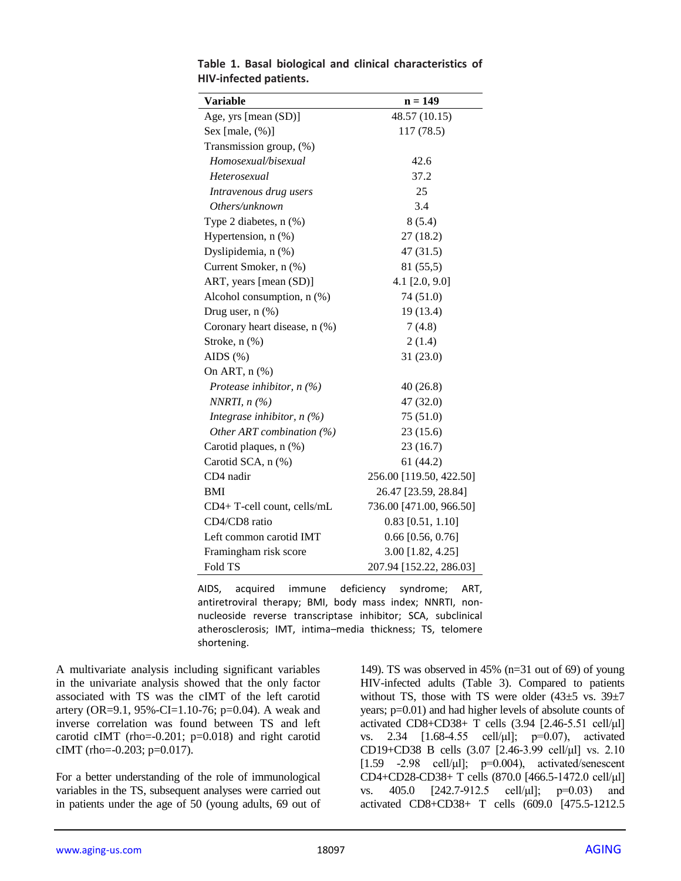| <b>Variable</b>               | $n = 149$               |
|-------------------------------|-------------------------|
| Age, yrs [mean (SD)]          | 48.57 (10.15)           |
| Sex [male, $(\%)$ ]           | 117 (78.5)              |
| Transmission group, (%)       |                         |
| Homosexual/bisexual           | 42.6                    |
| Heterosexual                  | 37.2                    |
| Intravenous drug users        | 25                      |
| Others/unknown                | 3.4                     |
| Type 2 diabetes, $n$ $(\%)$   | 8(5.4)                  |
| Hypertension, n (%)           | 27(18.2)                |
| Dyslipidemia, n (%)           | 47(31.5)                |
| Current Smoker, n (%)         | 81 (55,5)               |
| ART, years [mean (SD)]        | 4.1 $[2.0, 9.0]$        |
| Alcohol consumption, n (%)    | 74 (51.0)               |
| Drug user, $n$ $(\%)$         | 19 (13.4)               |
| Coronary heart disease, n (%) | 7(4.8)                  |
| Stroke, n (%)                 | 2(1.4)                  |
| AIDS $(\%)$                   | 31(23.0)                |
| On ART, n (%)                 |                         |
| Protease inhibitor, $n(\%)$   | 40(26.8)                |
| NNRTI, $n$ (%)                | 47 (32.0)               |
| Integrase inhibitor, $n(\%)$  | 75(51.0)                |
| Other ART combination $(\%)$  | 23(15.6)                |
| Carotid plaques, n (%)        | 23 (16.7)               |
| Carotid SCA, n (%)            | 61(44.2)                |
| CD4 nadir                     | 256.00 [119.50, 422.50] |
| BMI                           | 26.47 [23.59, 28.84]    |
| CD4+ T-cell count, cells/mL   | 736.00 [471.00, 966.50] |
| CD4/CD8 ratio                 | $0.83$ [0.51, 1.10]     |
| Left common carotid IMT       | $0.66$ [0.56, 0.76]     |
| Framingham risk score         | 3.00 [1.82, 4.25]       |
| Fold TS                       | 207.94 [152.22, 286.03] |

**Table 1. Basal biological and clinical characteristics of HIV-infected patients.**

AIDS, acquired immune deficiency syndrome; ART, antiretroviral therapy; BMI, body mass index; NNRTI, nonnucleoside reverse transcriptase inhibitor; SCA, subclinical atherosclerosis; IMT, intima–media thickness; TS, telomere shortening.

A multivariate analysis including significant variables in the univariate analysis showed that the only factor associated with TS was the cIMT of the left carotid artery (OR=9.1, 95%-CI=1.10-76; p=0.04). A weak and inverse correlation was found between TS and left carotid cIMT (rho=-0.201; p=0.018) and right carotid cIMT (rho=-0.203; p=0.017).

For a better understanding of the role of immunological variables in the TS, subsequent analyses were carried out in patients under the age of 50 (young adults, 69 out of 149). TS was observed in 45% (n=31 out of 69) of young HIV-infected adults (Table 3). Compared to patients without TS, those with TS were older  $(43\pm5 \text{ vs. } 39\pm7)$ years; p=0.01) and had higher levels of absolute counts of activated CD8+CD38+ T cells (3.94 [2.46-5.51 cell/μl] vs. 2.34 [1.68-4.55 cell/μl]; p=0.07), activated CD19+CD38 B cells (3.07 [2.46-3.99 cell/μl] vs. 2.10 [ $1.59$  -2.98 cell/ $\mu$ l];  $p=0.004$ ), activated/senescent CD4+CD28-CD38+ T cells (870.0 [466.5-1472.0 cell/μl] vs. 405.0 [242.7-912.5 cell/μl]; p=0.03) and activated CD8+CD38+ T cells (609.0 [475.5-1212.5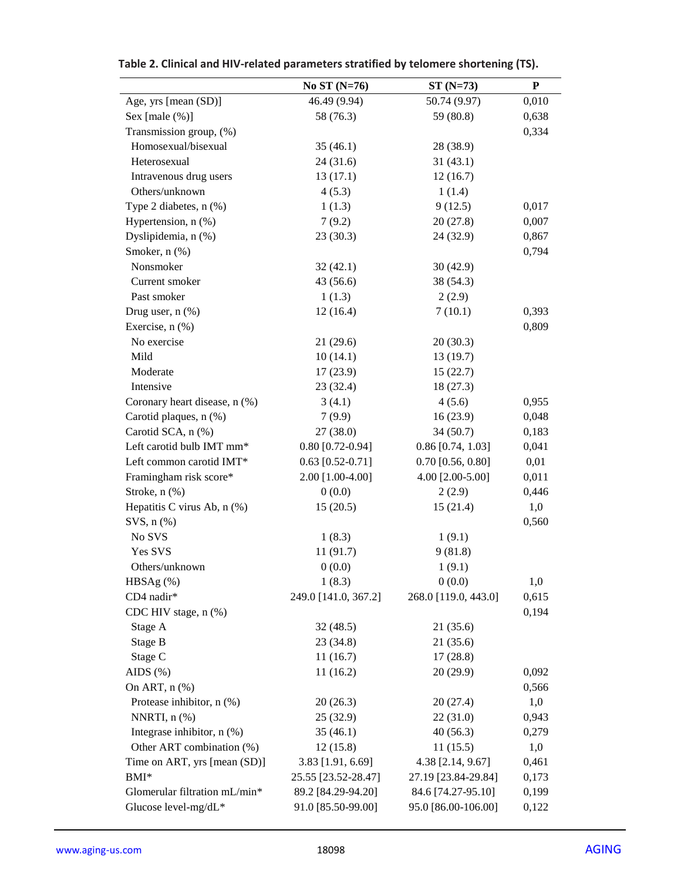|                               | No ST $(N=76)$       | $ST(N=73)$           | ${\bf P}$ |
|-------------------------------|----------------------|----------------------|-----------|
| Age, yrs [mean (SD)]          | 46.49 (9.94)         | 50.74 (9.97)         | 0,010     |
| Sex [male (%)]                | 58 (76.3)            | 59 (80.8)            | 0,638     |
| Transmission group, (%)       |                      |                      | 0,334     |
| Homosexual/bisexual           | 35(46.1)             | 28 (38.9)            |           |
| Heterosexual                  | 24(31.6)             | 31(43.1)             |           |
| Intravenous drug users        | 13(17.1)             | 12(16.7)             |           |
| Others/unknown                | 4(5.3)               | 1(1.4)               |           |
| Type 2 diabetes, n (%)        | 1(1.3)               | 9(12.5)              | 0,017     |
| Hypertension, n (%)           | 7(9.2)               | 20(27.8)             | 0,007     |
| Dyslipidemia, n (%)           | 23(30.3)             | 24 (32.9)            | 0,867     |
| Smoker, n (%)                 |                      |                      | 0,794     |
| Nonsmoker                     | 32(42.1)             | 30(42.9)             |           |
| Current smoker                | 43 (56.6)            | 38 (54.3)            |           |
| Past smoker                   | 1(1.3)               | 2(2.9)               |           |
| Drug user, $n$ $%$            | 12(16.4)             | 7(10.1)              | 0,393     |
| Exercise, n (%)               |                      |                      | 0,809     |
| No exercise                   | 21(29.6)             | 20(30.3)             |           |
| Mild                          | 10(14.1)             | 13(19.7)             |           |
| Moderate                      | 17(23.9)             | 15(22.7)             |           |
| Intensive                     | 23(32.4)             | 18(27.3)             |           |
| Coronary heart disease, n (%) | 3(4.1)               | 4(5.6)               | 0,955     |
| Carotid plaques, n (%)        | 7(9.9)               | 16(23.9)             | 0,048     |
| Carotid SCA, n (%)            | 27(38.0)             | 34 (50.7)            | 0,183     |
| Left carotid bulb IMT mm*     | $0.80$ [0.72-0.94]   | $0.86$ [0.74, 1.03]  | 0,041     |
| Left common carotid IMT*      | $0.63$ [0.52-0.71]   | $0.70$ [0.56, 0.80]  | 0,01      |
| Framingham risk score*        | 2.00 [1.00-4.00]     | 4.00 [2.00-5.00]     | 0,011     |
| Stroke, n (%)                 | 0(0.0)               | 2(2.9)               | 0,446     |
| Hepatitis C virus Ab, n (%)   | 15(20.5)             | 15(21.4)             | 1,0       |
| $SVS, n$ $(\%)$               |                      |                      | 0,560     |
| No SVS                        | 1(8.3)               | 1(9.1)               |           |
| Yes SVS                       | 11(91.7)             | 9(81.8)              |           |
| Others/unknown                | 0(0.0)               | 1(9.1)               |           |
| $HBSAg$ (%)                   | 1(8.3)               | 0(0.0)               | 1,0       |
| CD4 nadir*                    | 249.0 [141.0, 367.2] | 268.0 [119.0, 443.0] | 0,615     |
| CDC HIV stage, n (%)          |                      |                      | 0,194     |
| Stage A                       | 32(48.5)             | 21 (35.6)            |           |
| Stage B                       | 23(34.8)             | 21(35.6)             |           |
| Stage C                       | 11(16.7)             | 17(28.8)             |           |
| AIDS $(\%)$                   | 11(16.2)             | 20(29.9)             | 0,092     |
| On ART, $n$ $%$               |                      |                      | 0,566     |
| Protease inhibitor, n (%)     | 20(26.3)             | 20 (27.4)            | 1,0       |
| NNRTI, $n$ $%$                | 25(32.9)             | 22(31.0)             | 0,943     |
| Integrase inhibitor, n (%)    | 35(46.1)             | 40(56.3)             | 0,279     |
| Other ART combination (%)     | 12(15.8)             | 11(15.5)             | 1,0       |
| Time on ART, yrs [mean (SD)]  | 3.83 [1.91, 6.69]    | 4.38 [2.14, 9.67]    | 0,461     |
| BMI*                          | 25.55 [23.52-28.47]  | 27.19 [23.84-29.84]  | 0,173     |
| Glomerular filtration mL/min* | 89.2 [84.29-94.20]   | 84.6 [74.27-95.10]   | 0,199     |
| Glucose level-mg/dL*          | 91.0 [85.50-99.00]   | 95.0 [86.00-106.00]  | 0,122     |

| Table 2. Clinical and HIV-related parameters stratified by telomere shortening (TS). |  |
|--------------------------------------------------------------------------------------|--|
|--------------------------------------------------------------------------------------|--|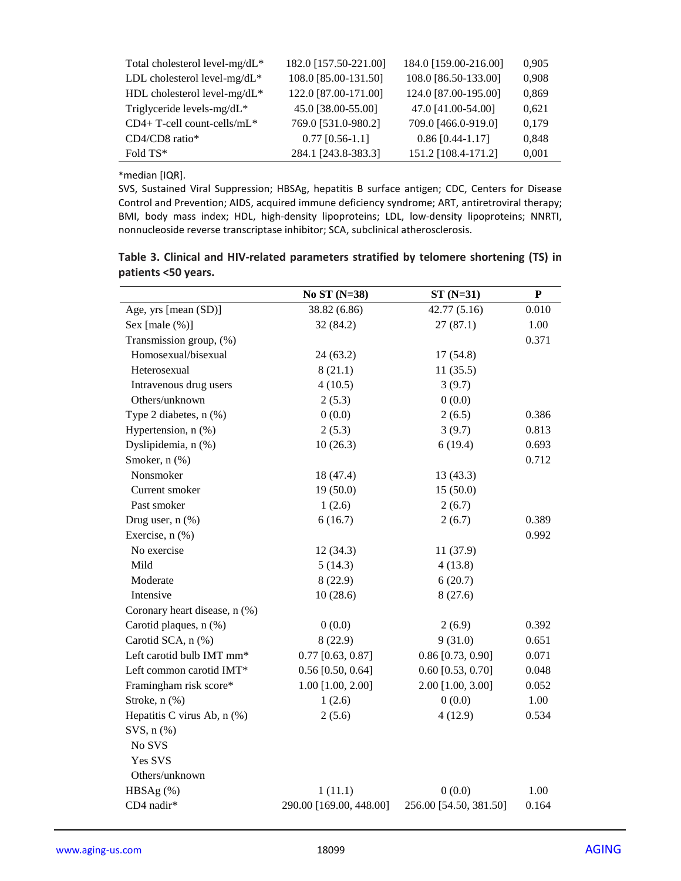| Total cholesterol level-mg/dL* | 182.0 [157.50-221.00] | 184.0 [159.00-216.00] | 0,905 |
|--------------------------------|-----------------------|-----------------------|-------|
| LDL cholesterol level-mg/dL*   | 108.0 [85.00-131.50]  | 108.0 [86.50-133.00]  | 0,908 |
| HDL cholesterol level-mg/dL*   | 122.0 [87.00-171.00]  | 124.0 [87.00-195.00]  | 0,869 |
| Triglyceride levels-mg/dL*     | 45.0 [38.00-55.00]    | 47.0 [41.00-54.00]    | 0,621 |
| CD4+ T-cell count-cells/mL*    | 769.0 [531.0-980.2]   | 709.0 [466.0-919.0]   | 0,179 |
| CD4/CD8 ratio*                 | $0.77$ [0.56-1.1]     | $0.86$ [0.44-1.17]    | 0,848 |
| Fold TS*                       | 284.1 [243.8-383.3]   | 151.2 [108.4-171.2]   | 0,001 |

\*median [IQR].

SVS, Sustained Viral Suppression; HBSAg, hepatitis B surface antigen; CDC, Centers for Disease Control and Prevention; AIDS, acquired immune deficiency syndrome; ART, antiretroviral therapy; BMI, body mass index; HDL, high-density lipoproteins; LDL, low-density lipoproteins; NNRTI, nonnucleoside reverse transcriptase inhibitor; SCA, subclinical atherosclerosis.

|                     |  |  | Table 3. Clinical and HIV-related parameters stratified by telomere shortening (TS) in |  |
|---------------------|--|--|----------------------------------------------------------------------------------------|--|
| patients <50 years. |  |  |                                                                                        |  |

|                               | No ST (N=38)            | $ST(N=31)$             | ${\bf P}$ |
|-------------------------------|-------------------------|------------------------|-----------|
| Age, yrs [mean (SD)]          | 38.82 (6.86)            | 42.77(5.16)            | 0.010     |
| Sex [male $(\%)$ ]            | 32 (84.2)               | 27(87.1)               | 1.00      |
| Transmission group, (%)       |                         |                        | 0.371     |
| Homosexual/bisexual           | 24(63.2)                | 17(54.8)               |           |
| Heterosexual                  | 8(21.1)                 | 11(35.5)               |           |
| Intravenous drug users        | 4(10.5)                 | 3(9.7)                 |           |
| Others/unknown                | 2(5.3)                  | 0(0.0)                 |           |
| Type 2 diabetes, n (%)        | 0(0.0)                  | 2(6.5)                 | 0.386     |
| Hypertension, n (%)           | 2(5.3)                  | 3(9.7)                 | 0.813     |
| Dyslipidemia, n (%)           | 10(26.3)                | 6(19.4)                | 0.693     |
| Smoker, n (%)                 |                         |                        | 0.712     |
| Nonsmoker                     | 18 (47.4)               | 13(43.3)               |           |
| Current smoker                | 19(50.0)                | 15(50.0)               |           |
| Past smoker                   | 1(2.6)                  | 2(6.7)                 |           |
| Drug user, $n$ $%$            | 6(16.7)                 | 2(6.7)                 | 0.389     |
| Exercise, n (%)               |                         |                        | 0.992     |
| No exercise                   | 12(34.3)                | 11 (37.9)              |           |
| Mild                          | 5(14.3)                 | 4(13.8)                |           |
| Moderate                      | 8(22.9)                 | 6(20.7)                |           |
| Intensive                     | 10(28.6)                | 8(27.6)                |           |
| Coronary heart disease, n (%) |                         |                        |           |
| Carotid plaques, n (%)        | 0(0.0)                  | 2(6.9)                 | 0.392     |
| Carotid SCA, n (%)            | 8(22.9)                 | 9(31.0)                | 0.651     |
| Left carotid bulb IMT mm*     | $0.77$ [0.63, 0.87]     | $0.86$ [0.73, 0.90]    | 0.071     |
| Left common carotid IMT*      | $0.56$ [0.50, 0.64]     | $0.60$ [0.53, 0.70]    | 0.048     |
| Framingham risk score*        | 1.00 [1.00, 2.00]       | 2.00 [1.00, 3.00]      | 0.052     |
| Stroke, n (%)                 | 1(2.6)                  | 0(0.0)                 | 1.00      |
| Hepatitis C virus Ab, n (%)   | 2(5.6)                  | 4(12.9)                | 0.534     |
| $SVS, n$ $(\%)$               |                         |                        |           |
| No SVS                        |                         |                        |           |
| Yes SVS                       |                         |                        |           |
| Others/unknown                |                         |                        |           |
| HBSAg $(\%)$                  | 1(11.1)                 | 0(0.0)                 | 1.00      |
| CD4 nadir*                    | 290.00 [169.00, 448.00] | 256.00 [54.50, 381.50] | 0.164     |
|                               |                         |                        |           |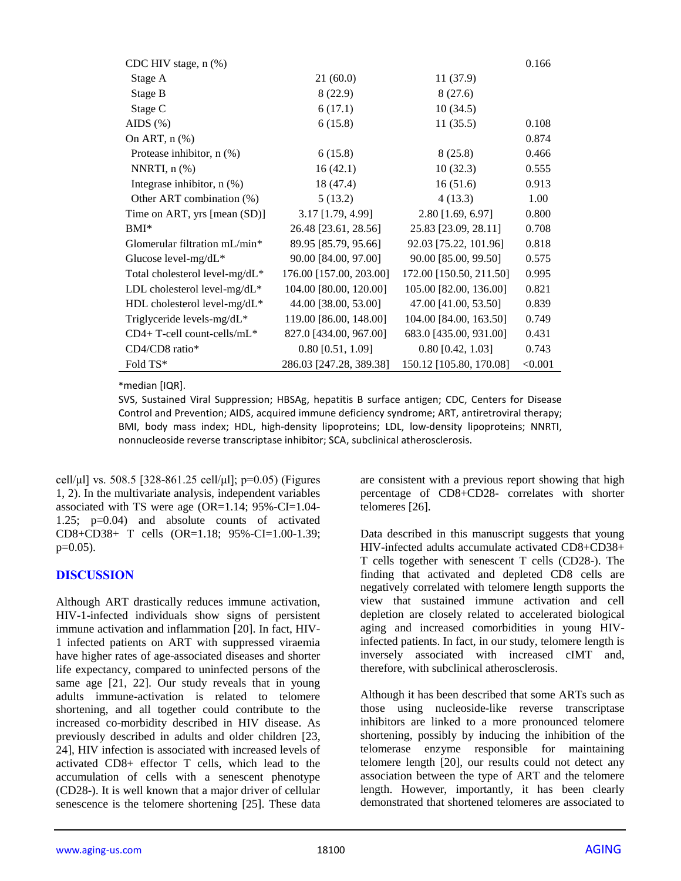| CDC HIV stage, n (%)           |                         |                         | 0.166   |
|--------------------------------|-------------------------|-------------------------|---------|
| Stage A                        | 21(60.0)                | 11(37.9)                |         |
| Stage B                        | 8(22.9)                 | 8(27.6)                 |         |
| Stage C                        | 6(17.1)                 | 10(34.5)                |         |
| AIDS $(\%)$                    | 6(15.8)                 | 11(35.5)                | 0.108   |
| On ART, $n$ $%$                |                         |                         | 0.874   |
| Protease inhibitor, n (%)      | 6(15.8)                 | 8(25.8)                 | 0.466   |
| NNRTI, $n$ $(\%)$              | 16(42.1)                | 10(32.3)                | 0.555   |
| Integrase inhibitor, $n$ (%)   | 18 (47.4)               | 16(51.6)                | 0.913   |
| Other ART combination (%)      | 5(13.2)                 | 4(13.3)                 | 1.00    |
| Time on ART, yrs [mean (SD)]   | 3.17 [1.79, 4.99]       | 2.80 [1.69, 6.97]       | 0.800   |
| $BMI^*$                        | 26.48 [23.61, 28.56]    | 25.83 [23.09, 28.11]    | 0.708   |
| Glomerular filtration mL/min*  | 89.95 [85.79, 95.66]    | 92.03 [75.22, 101.96]   | 0.818   |
| Glucose level-mg/dL*           | 90.00 [84.00, 97.00]    | 90.00 [85.00, 99.50]    | 0.575   |
| Total cholesterol level-mg/dL* | 176.00 [157.00, 203.00] | 172.00 [150.50, 211.50] | 0.995   |
| LDL cholesterol level-mg/dL*   | 104.00 [80.00, 120.00]  | 105.00 [82.00, 136.00]  | 0.821   |
| HDL cholesterol level-mg/dL*   | 44.00 [38.00, 53.00]    | 47.00 [41.00, 53.50]    | 0.839   |
| Triglyceride levels-mg/dL*     | 119.00 [86.00, 148.00]  | 104.00 [84.00, 163.50]  | 0.749   |
| $CD4+T$ -cell count-cells/mL*  | 827.0 [434.00, 967.00]  | 683.0 [435.00, 931.00]  | 0.431   |
| CD4/CD8 ratio*                 | $0.80$ [0.51, 1.09]     | $0.80$ [0.42, 1.03]     | 0.743   |
| Fold TS*                       | 286.03 [247.28, 389.38] | 150.12 [105.80, 170.08] | < 0.001 |

\*median [IQR].

SVS, Sustained Viral Suppression; HBSAg, hepatitis B surface antigen; CDC, Centers for Disease Control and Prevention; AIDS, acquired immune deficiency syndrome; ART, antiretroviral therapy; BMI, body mass index; HDL, high-density lipoproteins; LDL, low-density lipoproteins; NNRTI, nonnucleoside reverse transcriptase inhibitor; SCA, subclinical atherosclerosis.

cell/μl] vs. 508.5 [328-861.25 cell/μl];  $p=0.05$ ) (Figures 1, 2). In the multivariate analysis, independent variables associated with TS were age (OR=1.14; 95%-CI=1.04- 1.25; p=0.04) and absolute counts of activated CD8+CD38+ T cells (OR=1.18; 95%-CI=1.00-1.39;  $p=0.05$ ).

## **DISCUSSION**

Although ART drastically reduces immune activation, HIV-1-infected individuals show signs of persistent immune activation and inflammation [20]. In fact, HIV-1 infected patients on ART with suppressed viraemia have higher rates of age-associated diseases and shorter life expectancy, compared to uninfected persons of the same age [21, 22]. Our study reveals that in young adults immune-activation is related to telomere shortening, and all together could contribute to the increased co-morbidity described in HIV disease. As previously described in adults and older children [23, 24], HIV infection is associated with increased levels of activated CD8+ effector T cells, which lead to the accumulation of cells with a senescent phenotype (CD28-). It is well known that a major driver of cellular senescence is the telomere shortening [25]. These data

are consistent with a previous report showing that high percentage of CD8+CD28- correlates with shorter telomeres [26].

Data described in this manuscript suggests that young HIV-infected adults accumulate activated CD8+CD38+ T cells together with senescent T cells (CD28-). The finding that activated and depleted CD8 cells are negatively correlated with telomere length supports the view that sustained immune activation and cell depletion are closely related to accelerated biological aging and increased comorbidities in young HIVinfected patients. In fact, in our study, telomere length is inversely associated with increased cIMT and, therefore, with subclinical atherosclerosis.

Although it has been described that some ARTs such as those using nucleoside-like reverse transcriptase inhibitors are linked to a more pronounced telomere shortening, possibly by inducing the inhibition of the telomerase enzyme responsible for maintaining telomere length [20], our results could not detect any association between the type of ART and the telomere length. However, importantly, it has been clearly demonstrated that shortened telomeres are associated to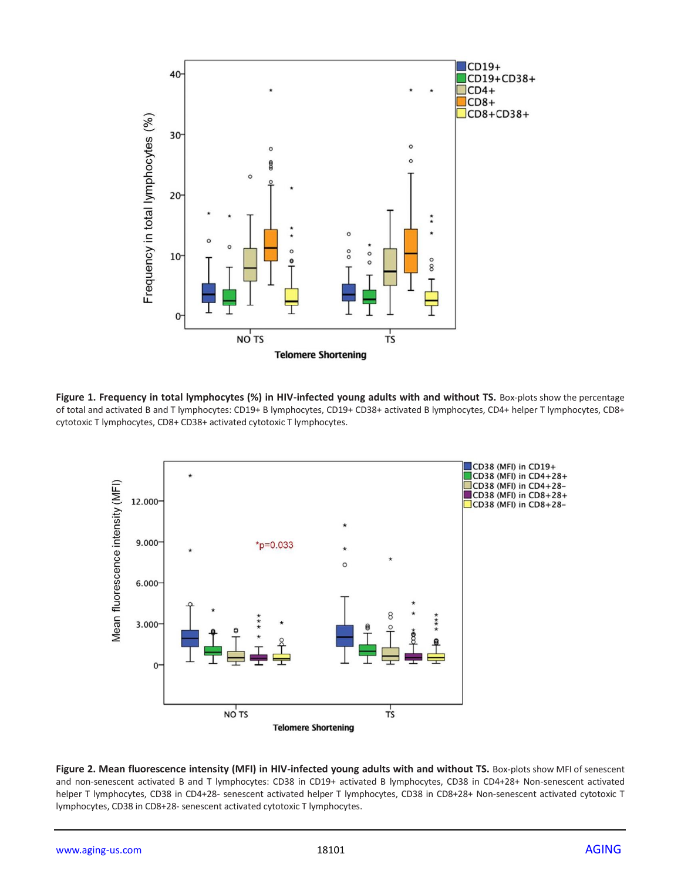

Figure 1. Frequency in total lymphocytes (%) in HIV-infected young adults with and without TS. Box-plots show the percentage of total and activated B and T lymphocytes: CD19+ B lymphocytes, CD19+ CD38+ activated B lymphocytes, CD4+ helper T lymphocytes, CD8+ cytotoxic T lymphocytes, CD8+ CD38+ activated cytotoxic T lymphocytes.



Figure 2. Mean fluorescence intensity (MFI) in HIV-infected young adults with and without TS. Box-plots show MFI of senescent and non-senescent activated B and T lymphocytes: CD38 in CD19+ activated B lymphocytes, CD38 in CD4+28+ Non-senescent activated helper T lymphocytes, CD38 in CD4+28- senescent activated helper T lymphocytes, CD38 in CD8+28+ Non-senescent activated cytotoxic T lymphocytes, CD38 in CD8+28- senescent activated cytotoxic T lymphocytes.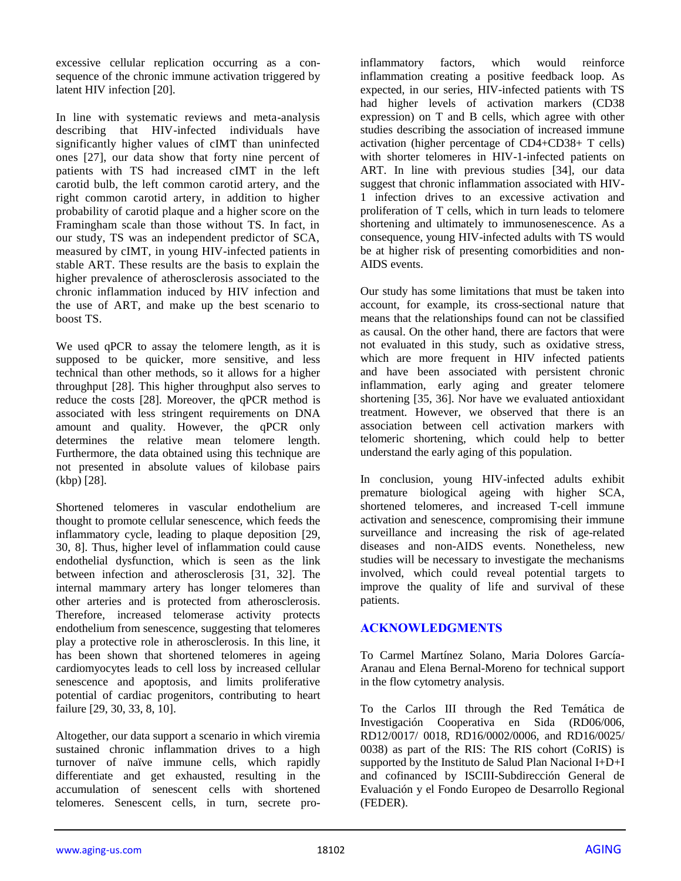excessive cellular replication occurring as a consequence of the chronic immune activation triggered by latent HIV infection [20].

In line with systematic reviews and meta-analysis describing that HIV-infected individuals have significantly higher values of cIMT than uninfected ones [27], our data show that forty nine percent of patients with TS had increased cIMT in the left carotid bulb, the left common carotid artery, and the right common carotid artery, in addition to higher probability of carotid plaque and a higher score on the Framingham scale than those without TS. In fact, in our study, TS was an independent predictor of SCA, measured by cIMT, in young HIV-infected patients in stable ART. These results are the basis to explain the higher prevalence of atherosclerosis associated to the chronic inflammation induced by HIV infection and the use of ART, and make up the best scenario to boost TS.

We used qPCR to assay the telomere length, as it is supposed to be quicker, more sensitive, and less technical than other methods, so it allows for a higher throughput [28]. This higher throughput also serves to reduce the costs [28]. Moreover, the qPCR method is associated with less stringent requirements on DNA amount and quality. However, the qPCR only determines the relative mean telomere length. Furthermore, the data obtained using this technique are not presented in absolute values of kilobase pairs (kbp) [28].

Shortened telomeres in vascular endothelium are thought to promote cellular senescence, which feeds the inflammatory cycle, leading to plaque deposition [29, 30, 8]. Thus, higher level of inflammation could cause endothelial dysfunction, which is seen as the link between infection and atherosclerosis [31, 32]. The internal mammary artery has longer telomeres than other arteries and is protected from atherosclerosis. Therefore, increased telomerase activity protects endothelium from senescence, suggesting that telomeres play a protective role in atherosclerosis. In this line, it has been shown that shortened telomeres in ageing cardiomyocytes leads to cell loss by increased cellular senescence and apoptosis, and limits proliferative potential of cardiac progenitors, contributing to heart failure [29, 30, 33, 8, 10].

Altogether, our data support a scenario in which viremia sustained chronic inflammation drives to a high turnover of naïve immune cells, which rapidly differentiate and get exhausted, resulting in the accumulation of senescent cells with shortened telomeres. Senescent cells, in turn, secrete proinflammatory factors, which would reinforce inflammation creating a positive feedback loop. As expected, in our series, HIV-infected patients with TS had higher levels of activation markers (CD38 expression) on T and B cells, which agree with other studies describing the association of increased immune activation (higher percentage of CD4+CD38+ T cells) with shorter telomeres in HIV-1-infected patients on ART. In line with previous studies [34], our data suggest that chronic inflammation associated with HIV-1 infection drives to an excessive activation and proliferation of T cells, which in turn leads to telomere shortening and ultimately to immunosenescence. As a consequence, young HIV-infected adults with TS would be at higher risk of presenting comorbidities and non-AIDS events.

Our study has some limitations that must be taken into account, for example, its cross-sectional nature that means that the relationships found can not be classified as causal. On the other hand, there are factors that were not evaluated in this study, such as oxidative stress, which are more frequent in HIV infected patients and have been associated with persistent chronic inflammation, early aging and greater telomere shortening [35, 36]. Nor have we evaluated antioxidant treatment. However, we observed that there is an association between cell activation markers with telomeric shortening, which could help to better understand the early aging of this population.

In conclusion, young HIV-infected adults exhibit premature biological ageing with higher SCA, shortened telomeres, and increased T-cell immune activation and senescence, compromising their immune surveillance and increasing the risk of age-related diseases and non-AIDS events. Nonetheless, new studies will be necessary to investigate the mechanisms involved, which could reveal potential targets to improve the quality of life and survival of these patients.

## **ACKNOWLEDGMENTS**

To Carmel Martínez Solano, Maria Dolores García-Aranau and Elena Bernal-Moreno for technical support in the flow cytometry analysis.

To the Carlos III through the Red Temática de Investigación Cooperativa en Sida (RD06/006, RD12/0017/ 0018, RD16/0002/0006, and RD16/0025/ 0038) as part of the RIS: The RIS cohort (CoRIS) is supported by the Instituto de Salud Plan Nacional I+D+I and cofinanced by ISCIII-Subdirección General de Evaluación y el Fondo Europeo de Desarrollo Regional (FEDER).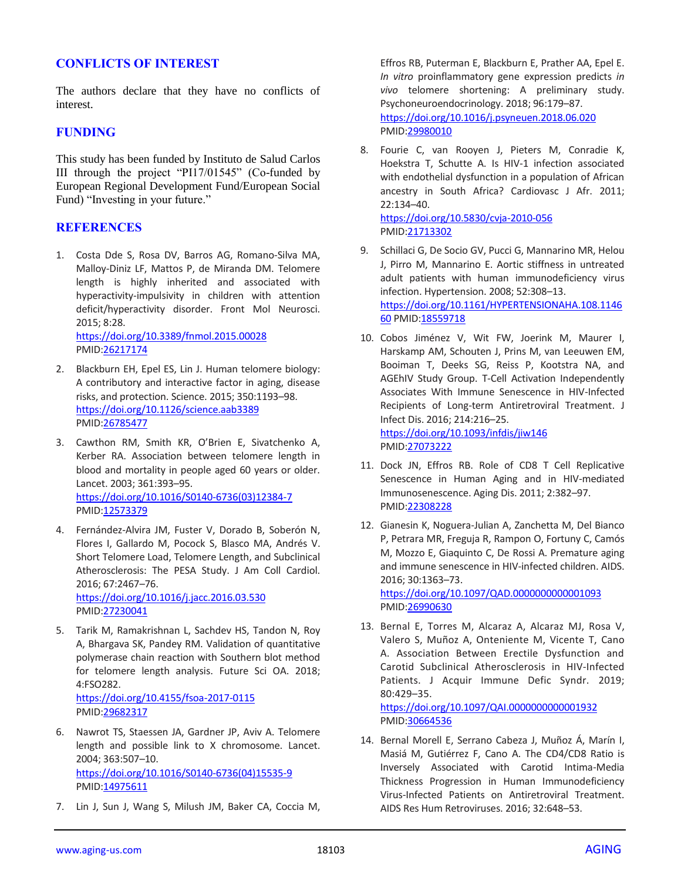#### **CONFLICTS OF INTEREST**

The authors declare that they have no conflicts of interest.

#### **FUNDING**

This study has been funded by Instituto de Salud Carlos III through the project "PI17/01545" (Co-funded by European Regional Development Fund/European Social Fund) "Investing in your future."

#### **REFERENCES**

1. Costa Dde S, Rosa DV, Barros AG, Romano-Silva MA, Malloy-Diniz LF, Mattos P, de Miranda DM. Telomere length is highly inherited and associated with hyperactivity-impulsivity in children with attention deficit/hyperactivity disorder. Front Mol Neurosci. 2015; 8:28.

<https://doi.org/10.3389/fnmol.2015.00028> PMID[:26217174](https://pubmed.ncbi.nlm.nih.gov/26217174)

- 2. Blackburn EH, Epel ES, Lin J. Human telomere biology: A contributory and interactive factor in aging, disease risks, and protection. Science. 2015; 350:1193–98. <https://doi.org/10.1126/science.aab3389> PMID[:26785477](https://pubmed.ncbi.nlm.nih.gov/26785477)
- 3. Cawthon RM, Smith KR, O'Brien E, Sivatchenko A, Kerber RA. Association between telomere length in blood and mortality in people aged 60 years or older. Lancet. 2003; 361:393–95. [https://doi.org/10.1016/S0140-6736\(03\)12384-7](https://doi.org/10.1016/S0140-6736(03)12384-7) PMID[:12573379](https://pubmed.ncbi.nlm.nih.gov/12573379)
- 4. Fernández-Alvira JM, Fuster V, Dorado B, Soberón N, Flores I, Gallardo M, Pocock S, Blasco MA, Andrés V. Short Telomere Load, Telomere Length, and Subclinical Atherosclerosis: The PESA Study. J Am Coll Cardiol. 2016; 67:2467–76. <https://doi.org/10.1016/j.jacc.2016.03.530> PMID[:27230041](https://pubmed.ncbi.nlm.nih.gov/27230041)

5. Tarik M, Ramakrishnan L, Sachdev HS, Tandon N, Roy A, Bhargava SK, Pandey RM. Validation of quantitative polymerase chain reaction with Southern blot method for telomere length analysis. Future Sci OA. 2018; 4:FSO282. <https://doi.org/10.4155/fsoa-2017-0115>

PMID[:29682317](https://pubmed.ncbi.nlm.nih.gov/29682317)

- 6. Nawrot TS, Staessen JA, Gardner JP, Aviv A. Telomere length and possible link to X chromosome. Lancet. 2004; 363:507–10. [https://doi.org/10.1016/S0140-6736\(04\)15535-9](https://doi.org/10.1016/S0140-6736(04)15535-9) PMID[:14975611](https://pubmed.ncbi.nlm.nih.gov/14975611)
- 7. Lin J, Sun J, Wang S, Milush JM, Baker CA, Coccia M,

Effros RB, Puterman E, Blackburn E, Prather AA, Epel E. *In vitro* proinflammatory gene expression predicts *in vivo* telomere shortening: A preliminary study. Psychoneuroendocrinology. 2018; 96:179–87. <https://doi.org/10.1016/j.psyneuen.2018.06.020> PMI[D:29980010](https://pubmed.ncbi.nlm.nih.gov/29980010)

8. Fourie C, van Rooyen J, Pieters M, Conradie K, Hoekstra T, Schutte A. Is HIV-1 infection associated with endothelial dysfunction in a population of African ancestry in South Africa? Cardiovasc J Afr. 2011; 22:134–40. <https://doi.org/10.5830/cvja-2010-056>

PMI[D:21713302](https://pubmed.ncbi.nlm.nih.gov/21713302)

- 9. Schillaci G, De Socio GV, Pucci G, Mannarino MR, Helou J, Pirro M, Mannarino E. Aortic stiffness in untreated adult patients with human immunodeficiency virus infection. Hypertension. 2008; 52:308–13. [https://doi.org/10.1161/HYPERTENSIONAHA.108.1146](https://doi.org/10.1161/HYPERTENSIONAHA.108.114660) [60](https://doi.org/10.1161/HYPERTENSIONAHA.108.114660) PMI[D:18559718](https://pubmed.ncbi.nlm.nih.gov/18559718)
- 10. Cobos Jiménez V, Wit FW, Joerink M, Maurer I, Harskamp AM, Schouten J, Prins M, van Leeuwen EM, Booiman T, Deeks SG, Reiss P, Kootstra NA, and AGEhIV Study Group. T-Cell Activation Independently Associates With Immune Senescence in HIV-Infected Recipients of Long-term Antiretroviral Treatment. J Infect Dis. 2016; 214:216–25. <https://doi.org/10.1093/infdis/jiw146> PMI[D:27073222](https://pubmed.ncbi.nlm.nih.gov/27073222)
- 11. Dock JN, Effros RB. Role of CD8 T Cell Replicative Senescence in Human Aging and in HIV-mediated Immunosenescence. Aging Dis. 2011; 2:382–97. PMI[D:22308228](https://pubmed.ncbi.nlm.nih.gov/22308228)
- 12. Gianesin K, Noguera-Julian A, Zanchetta M, Del Bianco P, Petrara MR, Freguja R, Rampon O, Fortuny C, Camós M, Mozzo E, Giaquinto C, De Rossi A. Premature aging and immune senescence in HIV-infected children. AIDS. 2016; 30:1363–73.

<https://doi.org/10.1097/QAD.0000000000001093> PMI[D:26990630](https://pubmed.ncbi.nlm.nih.gov/26990630)

13. Bernal E, Torres M, Alcaraz A, Alcaraz MJ, Rosa V, Valero S, Muñoz A, Onteniente M, Vicente T, Cano A. Association Between Erectile Dysfunction and Carotid Subclinical Atherosclerosis in HIV-Infected Patients. J Acquir Immune Defic Syndr. 2019; 80:429–35.

<https://doi.org/10.1097/QAI.0000000000001932> PMI[D:30664536](https://pubmed.ncbi.nlm.nih.gov/30664536)

14. Bernal Morell E, Serrano Cabeza J, Muñoz Á, Marín I, Masiá M, Gutiérrez F, Cano A. The CD4/CD8 Ratio is Inversely Associated with Carotid Intima-Media Thickness Progression in Human Immunodeficiency Virus-Infected Patients on Antiretroviral Treatment. AIDS Res Hum Retroviruses. 2016; 32:648–53.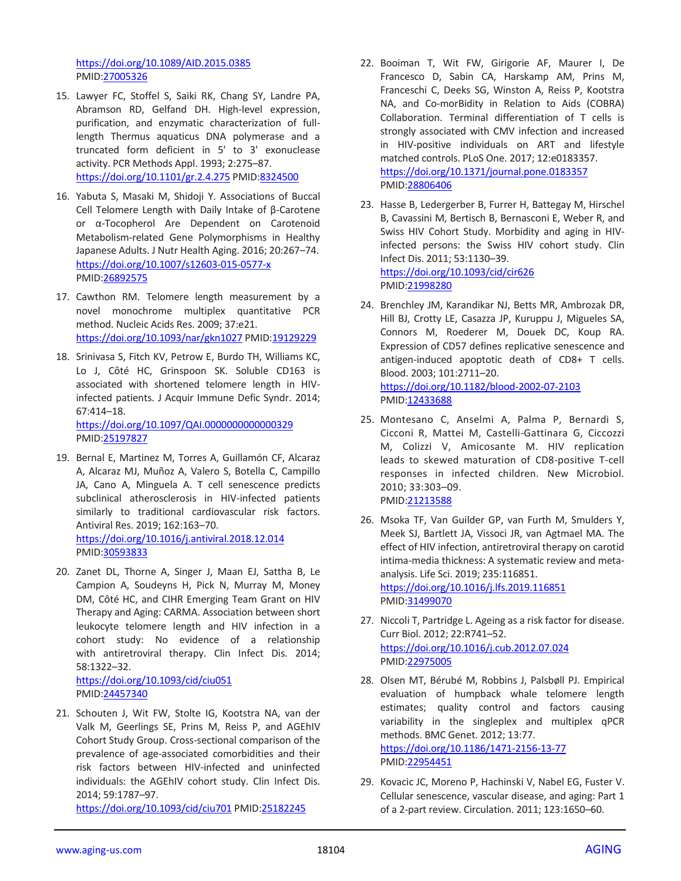<https://doi.org/10.1089/AID.2015.0385> PMID[:27005326](https://pubmed.ncbi.nlm.nih.gov/27005326)

- 15. Lawyer FC, Stoffel S, Saiki RK, Chang SY, Landre PA, Abramson RD, Gelfand DH. High-level expression, purification, and enzymatic characterization of fulllength Thermus aquaticus DNA polymerase and a truncated form deficient in 5' to 3' exonuclease activity. PCR Methods Appl. 1993; 2:275–87. <https://doi.org/10.1101/gr.2.4.275> PMID[:8324500](https://pubmed.ncbi.nlm.nih.gov/8324500)
- 16. Yabuta S, Masaki M, Shidoji Y. Associations of Buccal Cell Telomere Length with Daily Intake of β-Carotene or α-Tocopherol Are Dependent on Carotenoid Metabolism-related Gene Polymorphisms in Healthy Japanese Adults. J Nutr Health Aging. 2016; 20:267–74. <https://doi.org/10.1007/s12603-015-0577-x> PMID[:26892575](https://pubmed.ncbi.nlm.nih.gov/26892575)
- 17. Cawthon RM. Telomere length measurement by a novel monochrome multiplex quantitative PCR method. Nucleic Acids Res. 2009; 37:e21. <https://doi.org/10.1093/nar/gkn1027> PMID[:19129229](https://pubmed.ncbi.nlm.nih.gov/19129229)
- 18. Srinivasa S, Fitch KV, Petrow E, Burdo TH, Williams KC, Lo J, Côté HC, Grinspoon SK. Soluble CD163 is associated with shortened telomere length in HIVinfected patients. J Acquir Immune Defic Syndr. 2014; 67:414–18. <https://doi.org/10.1097/QAI.0000000000000329> PMID[:25197827](https://pubmed.ncbi.nlm.nih.gov/25197827)
- 19. Bernal E, Martinez M, Torres A, Guillamón CF, Alcaraz A, Alcaraz MJ, Muñoz A, Valero S, Botella C, Campillo JA, Cano A, Minguela A. T cell senescence predicts subclinical atherosclerosis in HIV-infected patients similarly to traditional cardiovascular risk factors. Antiviral Res. 2019; 162:163–70. <https://doi.org/10.1016/j.antiviral.2018.12.014> PMID[:30593833](https://pubmed.ncbi.nlm.nih.gov/30593833)
- 20. Zanet DL, Thorne A, Singer J, Maan EJ, Sattha B, Le Campion A, Soudeyns H, Pick N, Murray M, Money DM, Côté HC, and CIHR Emerging Team Grant on HIV Therapy and Aging: CARMA. Association between short leukocyte telomere length and HIV infection in a cohort study: No evidence of a relationship with antiretroviral therapy. Clin Infect Dis. 2014; 58:1322–32.

<https://doi.org/10.1093/cid/ciu051> PMID[:24457340](https://pubmed.ncbi.nlm.nih.gov/24457340)

21. Schouten J, Wit FW, Stolte IG, Kootstra NA, van der Valk M, Geerlings SE, Prins M, Reiss P, and AGEhIV Cohort Study Group. Cross-sectional comparison of the prevalence of age-associated comorbidities and their risk factors between HIV-infected and uninfected individuals: the AGEhIV cohort study. Clin Infect Dis. 2014; 59:1787–97.

<https://doi.org/10.1093/cid/ciu701> PMID[:25182245](https://pubmed.ncbi.nlm.nih.gov/25182245)

- 22. Booiman T, Wit FW, Girigorie AF, Maurer I, De Francesco D, Sabin CA, Harskamp AM, Prins M, Franceschi C, Deeks SG, Winston A, Reiss P, Kootstra NA, and Co-morBidity in Relation to Aids (COBRA) Collaboration. Terminal differentiation of T cells is strongly associated with CMV infection and increased in HIV-positive individuals on ART and lifestyle matched controls. PLoS One. 2017; 12:e0183357. <https://doi.org/10.1371/journal.pone.0183357> PMI[D:28806406](https://pubmed.ncbi.nlm.nih.gov/28806406)
- 23. Hasse B, Ledergerber B, Furrer H, Battegay M, Hirschel B, Cavassini M, Bertisch B, Bernasconi E, Weber R, and Swiss HIV Cohort Study. Morbidity and aging in HIVinfected persons: the Swiss HIV cohort study. Clin Infect Dis. 2011; 53:1130–39. <https://doi.org/10.1093/cid/cir626> PMI[D:21998280](https://pubmed.ncbi.nlm.nih.gov/21998280)
- 24. Brenchley JM, Karandikar NJ, Betts MR, Ambrozak DR, Hill BJ, Crotty LE, Casazza JP, Kuruppu J, Migueles SA, Connors M, Roederer M, Douek DC, Koup RA. Expression of CD57 defines replicative senescence and antigen-induced apoptotic death of CD8+ T cells. Blood. 2003; 101:2711–20. <https://doi.org/10.1182/blood-2002-07-2103> PMI[D:12433688](https://pubmed.ncbi.nlm.nih.gov/12433688)
- 25. Montesano C, Anselmi A, Palma P, Bernardi S, Cicconi R, Mattei M, Castelli-Gattinara G, Ciccozzi M, Colizzi V, Amicosante M. HIV replication leads to skewed maturation of CD8-positive T-cell responses in infected children. New Microbiol. 2010; 33:303–09. PMI[D:21213588](https://pubmed.ncbi.nlm.nih.gov/21213588)
- 26. Msoka TF, Van Guilder GP, van Furth M, Smulders Y, Meek SJ, Bartlett JA, Vissoci JR, van Agtmael MA. The effect of HIV infection, antiretroviral therapy on carotid intima-media thickness: A systematic review and metaanalysis. Life Sci. 2019; 235:116851. <https://doi.org/10.1016/j.lfs.2019.116851> PMI[D:31499070](https://pubmed.ncbi.nlm.nih.gov/31499070)
- 27. Niccoli T, Partridge L. Ageing as a risk factor for disease. Curr Biol. 2012; 22:R741–52. <https://doi.org/10.1016/j.cub.2012.07.024> PMI[D:22975005](https://pubmed.ncbi.nlm.nih.gov/22975005)
- 28. Olsen MT, Bérubé M, Robbins J, Palsbøll PJ. Empirical evaluation of humpback whale telomere length estimates; quality control and factors causing variability in the singleplex and multiplex qPCR methods. BMC Genet. 2012; 13:77. <https://doi.org/10.1186/1471-2156-13-77> PMI[D:22954451](https://pubmed.ncbi.nlm.nih.gov/22954451)
- 29. Kovacic JC, Moreno P, Hachinski V, Nabel EG, Fuster V. Cellular senescence, vascular disease, and aging: Part 1 of a 2-part review. Circulation. 2011; 123:1650–60.